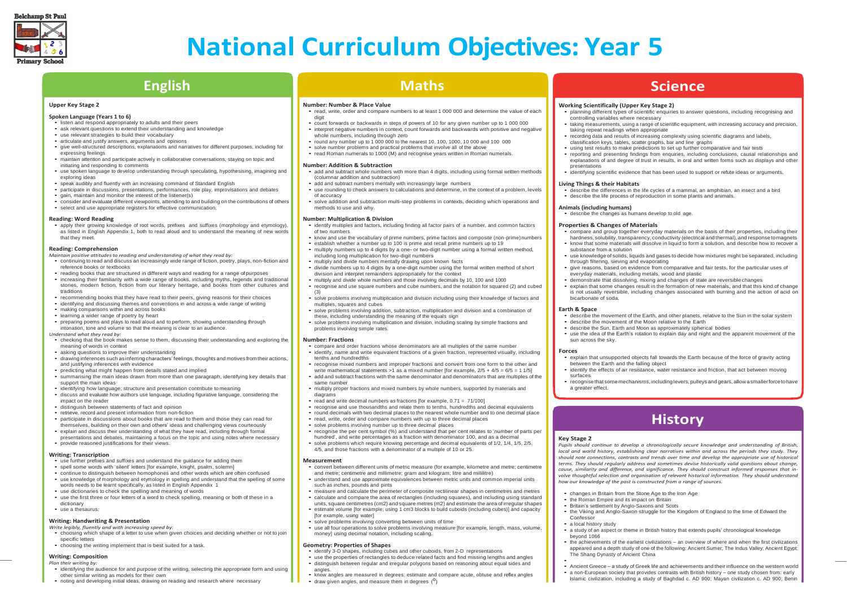#### **Working Scientifically (Upper Key Stage 2)**

• planning different types of scientific enquiries to answer questions, including recognising and controlling variables where necessary

• taking measurements, using <sup>a</sup> range of scientific equipment, with increasing accuracy and precision, taking repeat readings when appropriate

• recording data and results of increasing complexity using scientific diagrams and labels

• reporting and presenting findings from enquiries, including conclusions, causal relationships and explanations of and degree of trust in results, in oral and written forms such as displays and other

• identifying scientific evidence that has been used to support or refute ideas or arguments.

classification keys, tables, scatter graphs, bar and line graphs

• using test results to make predictions to set up further comparative and fair tests

presentations

**Living Things & their Habitats**

- give reasons, based on evidence from comparative and fair tests, for the particular uses of everyday materials, including metals, wood and plastic
- demonstrate that dissolving, mixing and changes of state are reversible changes

• describe the differences in the life cycles of <sup>a</sup> mammal, an amphibian, an insect and <sup>a</sup> bird • describe the life process of reproduction in some plants and animals.

**Animals (including humans)**

• describe the changes as humans develop to old age.

#### **Properties & Changes of Materials**

• compare and group together everyday materials on the basis of their properties, including their hardness, solubility, transparency, conductivity (electrical andthermal), and response tomagnets • know that some materials will dissolve in liquid to form <sup>a</sup> solution, and describe how to recover <sup>a</sup>

- listen and respond appropriately to adults and their peers
- ask relevant questions to extend their understanding and knowledge
- use relevant strategies to build their vocabulary
- articulate and justify answers, arguments and opinions • give well-structured descriptions, explanations and narratives for different purposes, including for
- expressing feelings • maintain attention and participate actively in collaborative conversations, staying on topic and
- initiating and responding to comments
- use spoken language to develop understanding through speculating, hypothesising, imagining and exploring ideas
- speak audibly and fluently with an increasing command of Standard English
- participate in discussions, presentations, performances, role play, improvisations and debates
- gain, maintain and monitor the interest of the listener(s)
- consider and evaluate different viewpoints, attending to and building on the contributions of others
- select and use appropriate registers for effective communication.

substance from a solution

• use knowledge of solids, liquids and gases to decide how mixtures might be separated, including through filtering, sieving and evaporating

• explain that some changes result in the formation of new materials, and that this kind of change is not usually reversible, including changes associated with burning and the action of acid on

• apply their growing knowledge of root words, prefixes and suffixes (morphology and etymology), as listed in English Appendix 1, both to read aloud and to understand the meaning of new words that they meet.

bicarbonate of soda.

**Earth & Space**

• describe the movement of the Earth, and other planets, relative to the Sun in the solar system • describe the movement of the Moon relative to the Earth

• describe the Sun, Earth and Moon as approximately spherical bodies

• use the idea of the Earth's rotation to explain day and night and the apparent movement of the

sun across the sky.

**Forces**

• explain that unsupported objects fall towards the Earth because of the force of gravity acting between the Earth and the falling object

• identify the effects of air resistance, water resistance and friction, that act between moving

 $\bullet$  recognise that some mechanisms, including levers, pulleys and gears, allow a smaller force to have

surfaces

### **Science**





# **National Curriculum Objectives: Year 5**

**Upper Key Stage 2**

**Spoken Language (Years 1 to 6)**

- identifying the audience for and purpose of the writing, selecting the appropriate form and using other similar writing as models for their own
- noting and developing initial ideas, drawing on reading and research where necessary

#### **Reading: Word Reading**

#### **Reading: Comprehension**

- read, write, order and compare numbers to at least 1,000,000 and determine the value of each
- digit count forwards or backwards in steps of powers of <sup>10</sup> for any given number up to <sup>1</sup> <sup>000</sup> <sup>000</sup> • interpret negative numbers in context, count forwards and backwards with positive and negative
- whole numbers, including through zero • round any number up to 1 000 000 to the nearest 10, 100, 1000, 10 000 and 100 <sup>000</sup>
- solve number problems and practical problems that involve all of the above
- read Roman numerals to <sup>1000</sup> (M) and recognise years written in Roman numerals.
- **Number: Addition & Subtraction**
- add and subtract whole numbers with more than <sup>4</sup> digits, including using formal written methods (columnar addition and subtraction)
- add and subtract numbers mentally with increasingly large numbers
- use rounding to check answers to calculations and determine, in the context of <sup>a</sup> problem, levels of accuracy
- solve addition and subtraction multi-step problems in contexts, deciding which operations and methods to use and why.

- *Maintain positive attitudes to reading and understanding of what they read by:* • continuing to read and discuss an increasingly wide range of fiction, poetry, plays, non-fiction and
- reference books or textbooks
- reading books that are structured in different ways and reading for a range ofpurposes • increasing their familiarity with a wide range of books, including myths, legends and traditional stories, modern fiction, fiction from our literary heritage, and books from other cultures and traditions
- recommending books that they have read to their peers, giving reasons for their choices
- identifying and discussing themes and conventions in and across <sup>a</sup> wide range of writing
- making comparisons within and across books
- learning a wider range of poetry by heart
- preparing poems and plays to read aloud and to perform, showing understanding through intonation, tone and volume so that the meaning is clear to an audience.
- *Understand what they read by:*
- checking that the book makes sense to them, discussing their understanding and exploring the meaning of words in context
- asking questions to improve their understanding
- drawing inferences such as inferring characters' feelings, thoughts and motives from their actions, and justifying inferences with evidence
- predicting what might happen from details stated and implied
- summarising the main ideas drawn from more than one paragraph, identifying key details that support the main ideas
- identifying how language, structure and presentation contribute to meaning
- discuss and evaluate how authors use language, including figurative language, considering the impact on the reader
- distinguish between statements of fact and opinion
- retrieve, record and present information from non-fiction
- participate in discussions about books that are read to them and those they can read for
- themselves, building on their own and others' ideas and challenging views courteously • explain and discuss their understanding of what they have read, including through formal
- presentations and debates, maintaining a focus on the topic and using notes where necessary • provide reasoned justifications for their views.
- 

- convert between different units of metric measure (for example, kilometre and metre; centimetre and metre; centimetre and millimetre; gram and kilogram; litre and millilitre)
- understand and use approximate equivalences between metric units and common imperial units such as inches, pounds and pints
- measure and calculate the perimeter of composite rectilinear shapes in centimetres and metres
- calculate and compare the area of rectangles (including squares), and including using standard units, square centimetres (cm2) and square metres (m2) and estimate the area ofirregular shapes • estimate volume [for example, using 1 cm3 blocks to build cuboids (including cubes)] and capacity

• use the properties of rectangles to deduce related facts and find missing lengths and angles • distinguish between regular and irregular polygons based on reasoning about equal sides and

#### **Writing: Transcription**

- use further prefixes and suffixes and understand the guidance for adding them
- spell some words with 'silent' letters [for example, knight, psalm, solemn]
- continue to distinguish between homophones and other words which are often confused • use knowledge of morphology and etymology in spelling and understand that the spelling of some words needs to be learnt specifically, as listed in English Appendix 1
- use dictionaries to check the spelling and meaning of words
- use the first three or four letters of a word to check spelling, meaning or both of these in a
- dictionary • use a thesaurus.

#### **Writing: Handwriting & Presentation**

*Write legibly, fluently and with increasing speed by:*

- choosing which shape of a letter to use when given choices and deciding whether or not to join specific letters
- choosing the writing implement that is best suited for a task.

#### **Writing: Composition**

*Plan their writing by:*

## **English**

#### **Number: Number & Place Value**

#### **Number: Multiplication & Division**

- identify multiples and factors, including finding all factor pairs of a number, and common factors of two numbers
- know and use the vocabulary of prime numbers, prime factors and composite (non-prime) numbers
- establish whether <sup>a</sup> number up to <sup>100</sup> is prime and recall prime numbers up to <sup>19</sup>
- multiply numbers up to 4 digits by a one- or two-digit number using a formal written method,
- including long multiplication for two-digit numbers • multiply and divide numbers mentally drawing upon known facts
- 
- divide numbers up to 4 digits by a one-digit number using the formal written method of short division and interpret remainders appropriately for the context
- multiply and divide whole numbers and those involving decimals by 10, <sup>100</sup> and <sup>1000</sup> • recognise and use square numbers and cube numbers, and the notation for squared (2) and cubed
- (3) solve problems involving multiplication and division including using their knowledge of factors and
- multiples, squares and cubes
- solve problems involving addition, subtraction, multiplication and division and a combination of these, including understanding the meaning of the equals sign
- solve problems involving multiplication and division, including scaling by simple fractions and problems involving simple rates.

#### **Number: Fractions**

- compare and order fractions whose denominators are all multiples of the same number • identify, name and write equivalent fractions of a given fraction, represented visually, including tenths and hundredths
- recognise mixed numbers and improper fractions and convert from one form to the other and write mathematical statements  $>1$  as a mixed number [for example,  $2/5 + 4/5 = 6/5 = 11/5$ ]
- add and subtract fractions with the same denominator and denominators that are multiples of the same number
- multiply proper fractions and mixed numbers by whole numbers, supported by materials and diagrams
- read and write decimal numbers as fractions [for example, 0.71 = 71/100]
- recognise and use thousandths and relate them to tenths, hundredths and decimal equivalents
- round decimals with two decimal places to the nearest whole number and to one decimal place
- read, write, order and compare numbers with up to three decimal places
- solve problems involving number up to three decimal places
- recognise the per cent symbol (%) and understand that per cent relates to 'number of parts per
- hundred', and write percentages as a fraction with denominator 100, and as a decimal
- solve problems which require knowing percentage and decimal equivalents of 1/2, 1/4, 1/5, 2/5, 4/5, and those fractions with a denominator of a multiple of 10 or 25.

#### **Measurement**

angles

[for example, using water]

• solve problems involving converting between units of time

• use all four operations to solve problems involving measure [for example, length, mass, volume,

money] using decimal notation, including scaling.

• draw given angles, and measure them in degrees  $(0)$ 

**Geometry: Properties of Shapes**

• know angles are measured in degrees: estimate and compare acute, obtuse and reflex angles

• identify 3-D shapes, including cubes and other cuboids, from 2-D representations



### **Maths**

**Key Stage 2**

*Pupils should continue to develop a chronologically secure knowledge and understanding of British, local and world history, establishing clear narratives within and across the periods they study. They should note connections, contrasts and trends over time and develop the appropriate use of historical terms. They should regularly address and sometimes devise historically valid questions about change, cause, similarity and difference, and significance. They should construct informed responses that in*volve thoughtful selection and organisation of relevant historical information. They should understand *how our knowledge of the past is constructed from a range of sources.*

• changes in Britain from the Stone Age to the Iron Age

• the Roman Empire and its impact on Britain

• Britain's settlement by Anglo-Saxons and Scots

• the Viking and Anglo-Saxon struggle for the Kingdom of England to the time of Edward the

Confessor • a local history study

• a study of an aspect or theme in British history that extends pupils' chronological knowledge

beyond 1066

• the achievements of the earliest civilizations – an overview of where and when the first civilizations appeared and a depth study of one of the following: Ancient Sumer; The Indus Valley; Ancient Egypt; The Shang Dynasty of Ancient China

•

a greater effect

• Ancient Greece – <sup>a</sup> study of Greek life and achievements and their influence on the western world • a non-European society that provides contrasts with British history – one study chosen from: early Islamic civilization, including a study of Baghdad c. AD 900; Mayan civilization c. AD 900; Benin

### **History**